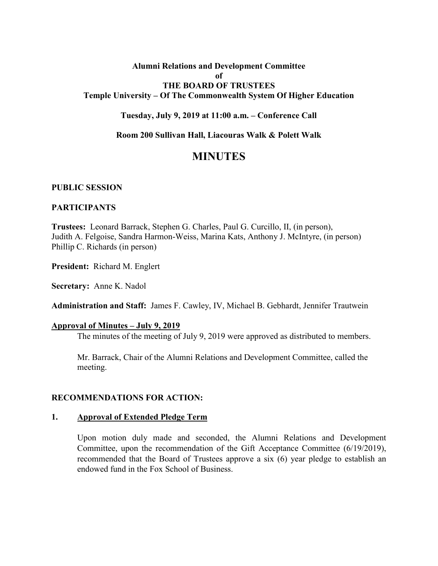# **Alumni Relations and Development Committee of THE BOARD OF TRUSTEES Temple University – Of The Commonwealth System Of Higher Education**

**Tuesday, July 9, 2019 at 11:00 a.m. – Conference Call**

**Room 200 Sullivan Hall, Liacouras Walk & Polett Walk**

# **MINUTES**

### **PUBLIC SESSION**

### **PARTICIPANTS**

**Trustees:** Leonard Barrack, Stephen G. Charles, Paul G. Curcillo, II, (in person), Judith A. Felgoise, Sandra Harmon-Weiss, Marina Kats, Anthony J. McIntyre, (in person) Phillip C. Richards (in person)

**President:** Richard M. Englert

**Secretary:** Anne K. Nadol

**Administration and Staff:** James F. Cawley, IV, Michael B. Gebhardt, Jennifer Trautwein

#### **Approval of Minutes – July 9, 2019**

The minutes of the meeting of July 9, 2019 were approved as distributed to members.

Mr. Barrack, Chair of the Alumni Relations and Development Committee, called the meeting.

### **RECOMMENDATIONS FOR ACTION:**

#### **1. Approval of Extended Pledge Term**

Upon motion duly made and seconded, the Alumni Relations and Development Committee, upon the recommendation of the Gift Acceptance Committee (6/19/2019), recommended that the Board of Trustees approve a six (6) year pledge to establish an endowed fund in the Fox School of Business.